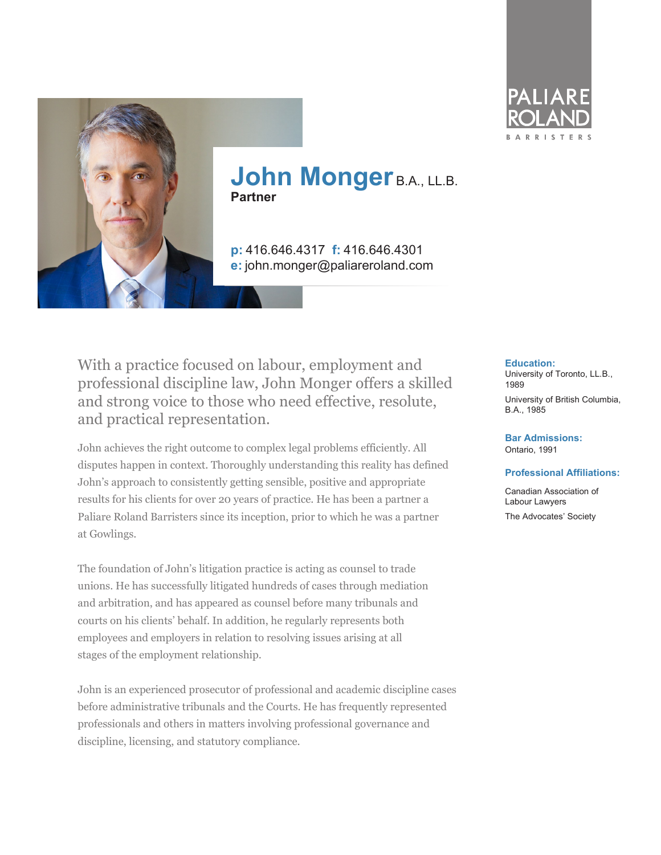



**p:** 416.646.4317 **f:** 416.646.4301 **e:** john.monger@paliareroland.com

With a practice focused on labour, employment and professional discipline law, John Monger offers a skilled and strong voice to those who need effective, resolute, and practical representation.

John achieves the right outcome to complex legal problems efficiently. All disputes happen in context. Thoroughly understanding this reality has defined John's approach to consistently getting sensible, positive and appropriate results for his clients for over 20 years of practice. He has been a partner a Paliare Roland Barristers since its inception, prior to which he was a partner at Gowlings.

The foundation of John's litigation practice is acting as counsel to trade unions. He has successfully litigated hundreds of cases through mediation and arbitration, and has appeared as counsel before many tribunals and courts on his clients' behalf. In addition, he regularly represents both employees and employers in relation to resolving issues arising at all stages of the employment relationship.

John is an experienced prosecutor of professional and academic discipline cases before administrative tribunals and the Courts. He has frequently represented professionals and others in matters involving professional governance and discipline, licensing, and statutory compliance.

#### **Education:**

University of Toronto, LL.B., 1989

University of British Columbia, B.A., 1985

**Bar Admissions:** Ontario, 1991

#### **Professional Affiliations:**

Canadian Association of Labour Lawyers The Advocates' Society